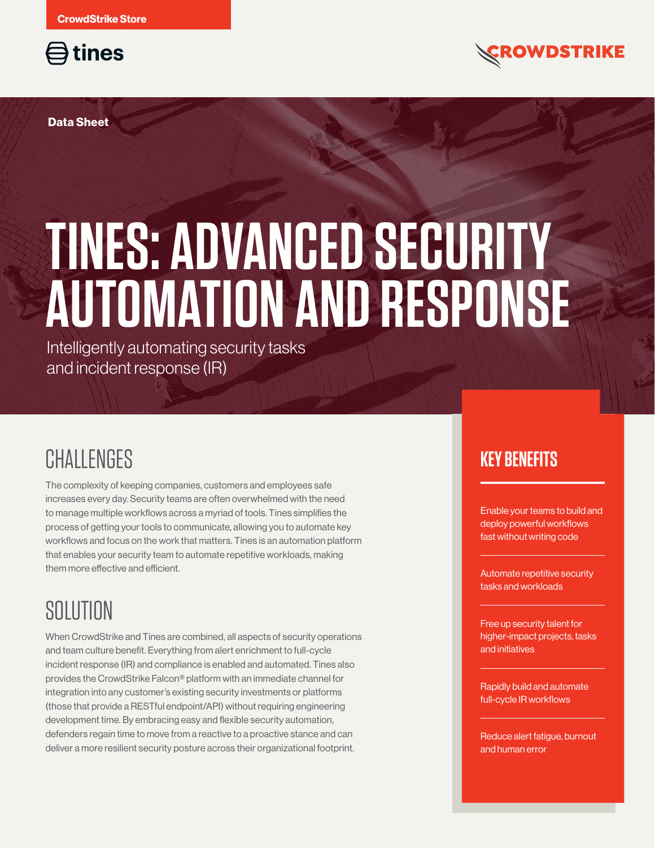

**Data Sheet**

# **TINES: ADVANCED SECURITY AUTOMATION AND RESPONSE**

Intelligently automating security tasks and incident response (IR)

## **CHALLENGES**

The complexity of keeping companies, customers and employees safe increases every day. Security teams are often overwhelmed with the need to manage multiple workflows across a myriad of tools. Tines simplifies the process of getting your tools to communicate, allowing you to automate key workflows and focus on the work that matters. Tines is an automation platform that enables your security team to automate repetitive workloads, making them more effective and efficient.

## SOLUTION

When CrowdStrike and Tines are combined, all aspects of security operations and team culture benefit. Everything from alert enrichment to full-cycle incident response (IR) and compliance is enabled and automated. Tines also provides the CrowdStrike Falcon® platform with an immediate channel for integration into any customer's existing security investments or platforms (those that provide a RESTful endpoint/API) without requiring engineering development time. By embracing easy and flexible security automation, defenders regain time to move from a reactive to a proactive stance and can deliver a more resilient security posture across their organizational footprint.

#### **KEY BENEFITS**

Enable your teams to build and deploy powerful workflows fast without writing code

**OWDSTRIKE** 

Automate repetitive security tasks and workloads

Free up security talent for higher-impact projects, tasks and initiatives

Rapidly build and automate full-cycle IR workflows

Reduce alert fatigue, burnout and human error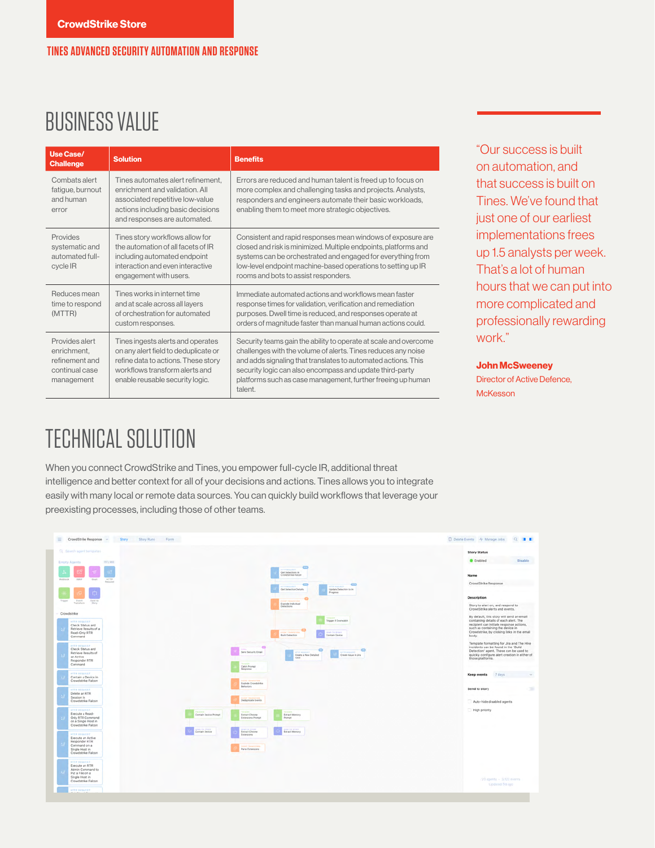#### **TINES ADVANCED SECURITY AUTOMATION AND RESPONSE**

## BUSINESS VALUE

| Use Case/<br><b>Challenge</b>                                                   | <b>Solution</b>                                                                                                                                                                       | <b>Benefits</b>                                                                                                                                                                                                                                                                                                                         |
|---------------------------------------------------------------------------------|---------------------------------------------------------------------------------------------------------------------------------------------------------------------------------------|-----------------------------------------------------------------------------------------------------------------------------------------------------------------------------------------------------------------------------------------------------------------------------------------------------------------------------------------|
| Combats alert<br>fatigue, burnout<br>and human<br>error                         | Tines automates alert refinement.<br>enrichment and validation. All<br>associated repetitive low-value<br>actions including basic decisions<br>and responses are automated.           | Errors are reduced and human talent is freed up to focus on<br>more complex and challenging tasks and projects. Analysts,<br>responders and engineers automate their basic workloads,<br>enabling them to meet more strategic objectives.                                                                                               |
| Provides<br>systematic and<br>automated full-<br>cycle IR                       | Tines story workflows allow for<br>the automation of all facets of IR<br>including automated endpoint<br>interaction and even interactive<br>engagement with users.                   | Consistent and rapid responses mean windows of exposure are<br>closed and risk is minimized. Multiple endpoints, platforms and<br>systems can be orchestrated and engaged for everything from<br>low-level endpoint machine-based operations to setting up IR<br>rooms and bots to assist responders.                                   |
| Reduces mean<br>time to respond<br>(MTTR)                                       | Tines works in internet time<br>and at scale across all layers<br>of orchestration for automated<br>custom responses.                                                                 | Immediate automated actions and workflows mean faster<br>response times for validation, verification and remediation<br>purposes. Dwell time is reduced, and responses operate at<br>orders of magnitude faster than manual human actions could.                                                                                        |
| Provides alert<br>enrichment,<br>refinement and<br>continual case<br>management | Tines ingests alerts and operates<br>on any alert field to deduplicate or<br>refine data to actions. These story<br>workflows transform alerts and<br>enable reusable security logic. | Security teams gain the ability to operate at scale and overcome<br>challenges with the volume of alerts. Tines reduces any noise<br>and adds signaling that translates to automated actions. This<br>security logic can also encompass and update third-party<br>platforms such as case management, further freeing up human<br>talent |

"Our success is built on automation, and that success is built on Tines. We've found that just one of our earliest implementations frees up 1.5 analysts per week. That's a lot of human hours that we can put into more complicated and professionally rewarding work."

**John McSweeney**

Director of Active Defence, **McKesson** 

## TECHNICAL SOLUTION

When you connect CrowdStrike and Tines, you empower full-cycle IR, additional threat intelligence and better context for all of your decisions and actions. Tines allows you to integrate easily with many local or remote data sources. You can quickly build workflows that leverage your preexisting processes, including those of other teams.

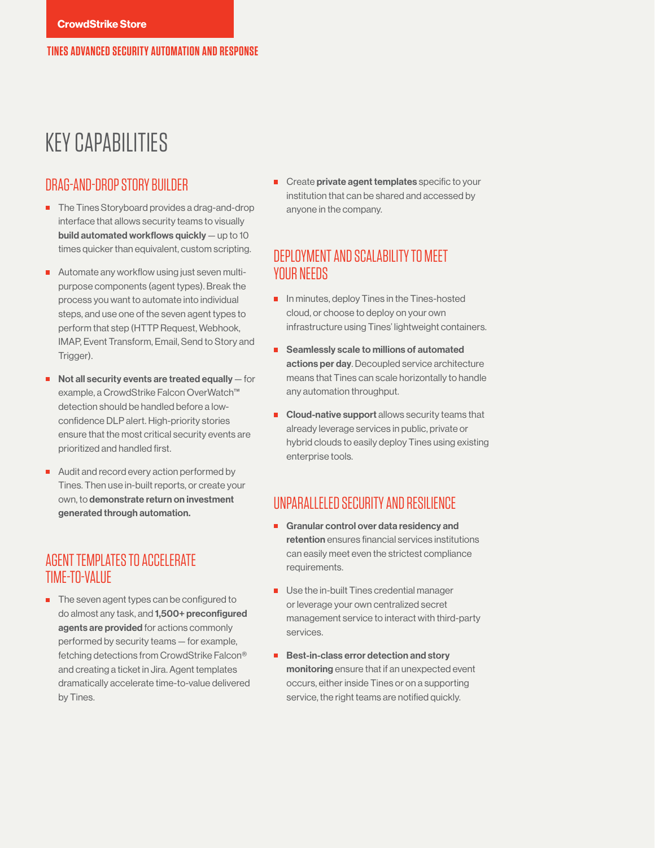### KEY CAPABILITIES

#### DRAG-AND-DROP STORY BUILDER

- The Tines Storyboard provides a drag-and-drop interface that allows security teams to visually build automated workflows quickly — up to 10 times quicker than equivalent, custom scripting.
- Automate any workflow using just seven multipurpose components (agent types). Break the process you want to automate into individual steps, and use one of the seven agent types to perform that step (HTTP Request, Webhook, IMAP, Event Transform, Email, Send to Story and Trigger).
- $\blacksquare$  Not all security events are treated equally  $-$  for example, a CrowdStrike Falcon OverWatch™ detection should be handled before a lowconfidence DLP alert. High-priority stories ensure that the most critical security events are prioritized and handled first.
- Audit and record every action performed by Tines. Then use in-built reports, or create your own, to demonstrate return on investment generated through automation.

#### AGENT TEMPLATES TO ACCELERATE TIME-TO-VALUE

 $\blacksquare$  The seven agent types can be configured to do almost any task, and 1,500+ preconfigured agents are provided for actions commonly performed by security teams — for example, fetching detections from CrowdStrike Falcon® and creating a ticket in Jira. Agent templates dramatically accelerate time-to-value delivered by Tines.

**EX Create private agent templates** specific to your institution that can be shared and accessed by anyone in the company.

#### DEPLOYMENT AND SCALABILITY TO MEET YOUR NEEDS

- $\blacksquare$  In minutes, deploy Tines in the Tines-hosted cloud, or choose to deploy on your own infrastructure using Tines' lightweight containers.
- Seamlessly scale to millions of automated actions per day. Decoupled service architecture means that Tines can scale horizontally to handle any automation throughput.
- $\blacksquare$  Cloud-native support allows security teams that already leverage services in public, private or hybrid clouds to easily deploy Tines using existing enterprise tools.

#### UNPARALLELED SECURITY AND RESILIENCE

- Granular control over data residency and retention ensures financial services institutions can easily meet even the strictest compliance requirements.
- Use the in-built Tines credential manager or leverage your own centralized secret management service to interact with third-party services.
- Best-in-class error detection and story monitoring ensure that if an unexpected event occurs, either inside Tines or on a supporting service, the right teams are notified quickly.